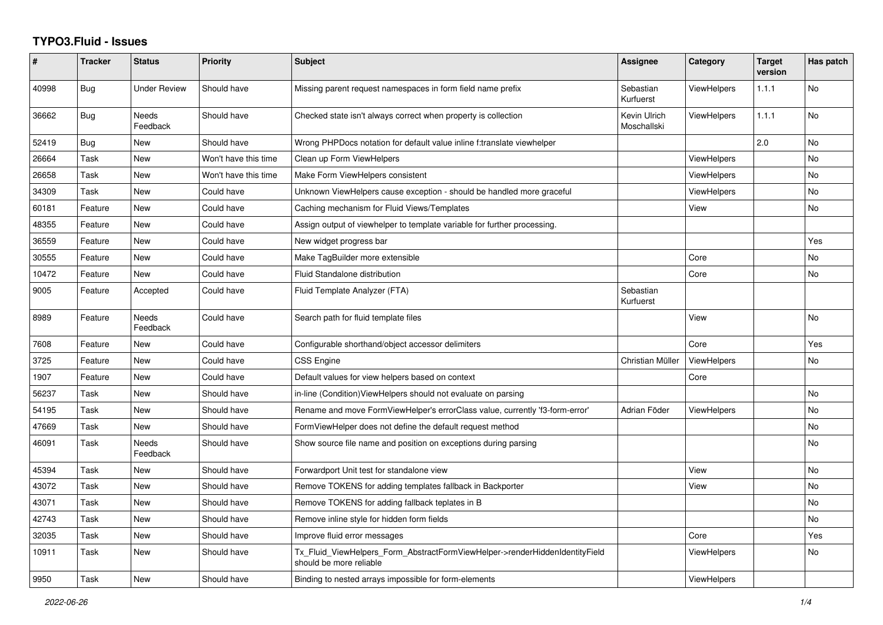## **TYPO3.Fluid - Issues**

| #     | <b>Tracker</b> | <b>Status</b>            | <b>Priority</b>      | <b>Subject</b>                                                                                         | Assignee                    | Category           | <b>Target</b><br>version | Has patch |
|-------|----------------|--------------------------|----------------------|--------------------------------------------------------------------------------------------------------|-----------------------------|--------------------|--------------------------|-----------|
| 40998 | Bug            | <b>Under Review</b>      | Should have          | Missing parent request namespaces in form field name prefix                                            | Sebastian<br>Kurfuerst      | ViewHelpers        | 1.1.1                    | <b>No</b> |
| 36662 | <b>Bug</b>     | <b>Needs</b><br>Feedback | Should have          | Checked state isn't always correct when property is collection                                         | Kevin Ulrich<br>Moschallski | <b>ViewHelpers</b> | 1.1.1                    | No        |
| 52419 | <b>Bug</b>     | New                      | Should have          | Wrong PHPDocs notation for default value inline f:translate viewhelper                                 |                             |                    | 2.0                      | <b>No</b> |
| 26664 | Task           | New                      | Won't have this time | Clean up Form ViewHelpers                                                                              |                             | <b>ViewHelpers</b> |                          | <b>No</b> |
| 26658 | Task           | New                      | Won't have this time | Make Form ViewHelpers consistent                                                                       |                             | ViewHelpers        |                          | No        |
| 34309 | Task           | New                      | Could have           | Unknown ViewHelpers cause exception - should be handled more graceful                                  |                             | ViewHelpers        |                          | No        |
| 60181 | Feature        | <b>New</b>               | Could have           | Caching mechanism for Fluid Views/Templates                                                            |                             | View               |                          | <b>No</b> |
| 48355 | Feature        | New                      | Could have           | Assign output of viewhelper to template variable for further processing.                               |                             |                    |                          |           |
| 36559 | Feature        | New                      | Could have           | New widget progress bar                                                                                |                             |                    |                          | Yes       |
| 30555 | Feature        | New                      | Could have           | Make TagBuilder more extensible                                                                        |                             | Core               |                          | No        |
| 10472 | Feature        | <b>New</b>               | Could have           | Fluid Standalone distribution                                                                          |                             | Core               |                          | <b>No</b> |
| 9005  | Feature        | Accepted                 | Could have           | Fluid Template Analyzer (FTA)                                                                          | Sebastian<br>Kurfuerst      |                    |                          |           |
| 8989  | Feature        | Needs<br>Feedback        | Could have           | Search path for fluid template files                                                                   |                             | View               |                          | <b>No</b> |
| 7608  | Feature        | New                      | Could have           | Configurable shorthand/object accessor delimiters                                                      |                             | Core               |                          | Yes       |
| 3725  | Feature        | New                      | Could have           | <b>CSS Engine</b>                                                                                      | Christian Müller            | <b>ViewHelpers</b> |                          | No        |
| 1907  | Feature        | <b>New</b>               | Could have           | Default values for view helpers based on context                                                       |                             | Core               |                          |           |
| 56237 | Task           | New                      | Should have          | in-line (Condition) View Helpers should not evaluate on parsing                                        |                             |                    |                          | <b>No</b> |
| 54195 | Task           | New                      | Should have          | Rename and move FormViewHelper's errorClass value, currently 'f3-form-error'                           | Adrian Föder                | <b>ViewHelpers</b> |                          | <b>No</b> |
| 47669 | Task           | New                      | Should have          | FormViewHelper does not define the default request method                                              |                             |                    |                          | No        |
| 46091 | Task           | Needs<br>Feedback        | Should have          | Show source file name and position on exceptions during parsing                                        |                             |                    |                          | No        |
| 45394 | Task           | New                      | Should have          | Forwardport Unit test for standalone view                                                              |                             | View               |                          | <b>No</b> |
| 43072 | Task           | New                      | Should have          | Remove TOKENS for adding templates fallback in Backporter                                              |                             | View               |                          | <b>No</b> |
| 43071 | Task           | New                      | Should have          | Remove TOKENS for adding fallback teplates in B                                                        |                             |                    |                          | No        |
| 42743 | Task           | <b>New</b>               | Should have          | Remove inline style for hidden form fields                                                             |                             |                    |                          | No        |
| 32035 | Task           | New                      | Should have          | Improve fluid error messages                                                                           |                             | Core               |                          | Yes       |
| 10911 | Task           | New                      | Should have          | Tx_Fluid_ViewHelpers_Form_AbstractFormViewHelper->renderHiddenIdentityField<br>should be more reliable |                             | ViewHelpers        |                          | <b>No</b> |
| 9950  | Task           | New                      | Should have          | Binding to nested arrays impossible for form-elements                                                  |                             | <b>ViewHelpers</b> |                          |           |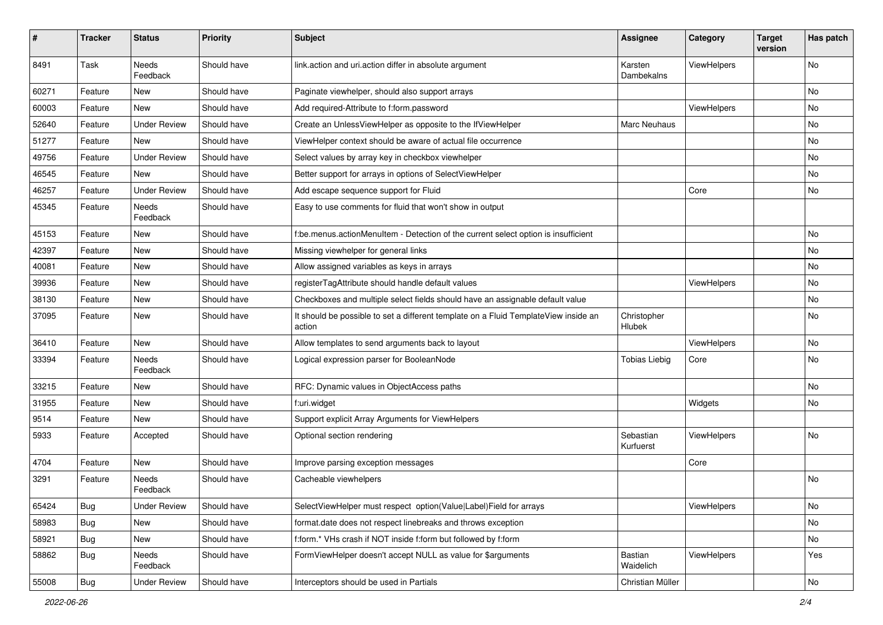| #     | <b>Tracker</b> | <b>Status</b>            | <b>Priority</b> | Subject                                                                                       | <b>Assignee</b>        | Category    | <b>Target</b><br>version | Has patch |
|-------|----------------|--------------------------|-----------------|-----------------------------------------------------------------------------------------------|------------------------|-------------|--------------------------|-----------|
| 8491  | Task           | <b>Needs</b><br>Feedback | Should have     | link.action and uri.action differ in absolute argument                                        | Karsten<br>Dambekalns  | ViewHelpers |                          | <b>No</b> |
| 60271 | Feature        | New                      | Should have     | Paginate viewhelper, should also support arrays                                               |                        |             |                          | No        |
| 60003 | Feature        | New                      | Should have     | Add required-Attribute to f:form.password                                                     |                        | ViewHelpers |                          | <b>No</b> |
| 52640 | Feature        | <b>Under Review</b>      | Should have     | Create an UnlessViewHelper as opposite to the IfViewHelper                                    | Marc Neuhaus           |             |                          | No        |
| 51277 | Feature        | <b>New</b>               | Should have     | ViewHelper context should be aware of actual file occurrence                                  |                        |             |                          | <b>No</b> |
| 49756 | Feature        | <b>Under Review</b>      | Should have     | Select values by array key in checkbox viewhelper                                             |                        |             |                          | No        |
| 46545 | Feature        | <b>New</b>               | Should have     | Better support for arrays in options of SelectViewHelper                                      |                        |             |                          | No        |
| 46257 | Feature        | <b>Under Review</b>      | Should have     | Add escape sequence support for Fluid                                                         |                        | Core        |                          | No        |
| 45345 | Feature        | Needs<br>Feedback        | Should have     | Easy to use comments for fluid that won't show in output                                      |                        |             |                          |           |
| 45153 | Feature        | <b>New</b>               | Should have     | f:be.menus.actionMenuItem - Detection of the current select option is insufficient            |                        |             |                          | No        |
| 42397 | Feature        | New                      | Should have     | Missing viewhelper for general links                                                          |                        |             |                          | No        |
| 40081 | Feature        | <b>New</b>               | Should have     | Allow assigned variables as keys in arrays                                                    |                        |             |                          | No        |
| 39936 | Feature        | New                      | Should have     | registerTagAttribute should handle default values                                             |                        | ViewHelpers |                          | No        |
| 38130 | Feature        | New                      | Should have     | Checkboxes and multiple select fields should have an assignable default value                 |                        |             |                          | No        |
| 37095 | Feature        | New                      | Should have     | It should be possible to set a different template on a Fluid TemplateView inside an<br>action | Christopher<br>Hlubek  |             |                          | No        |
| 36410 | Feature        | New                      | Should have     | Allow templates to send arguments back to layout                                              |                        | ViewHelpers |                          | No        |
| 33394 | Feature        | Needs<br>Feedback        | Should have     | Logical expression parser for BooleanNode                                                     | <b>Tobias Liebig</b>   | Core        |                          | No        |
| 33215 | Feature        | <b>New</b>               | Should have     | RFC: Dynamic values in ObjectAccess paths                                                     |                        |             |                          | <b>No</b> |
| 31955 | Feature        | New                      | Should have     | f:uri.widget                                                                                  |                        | Widgets     |                          | No        |
| 9514  | Feature        | New                      | Should have     | Support explicit Array Arguments for ViewHelpers                                              |                        |             |                          |           |
| 5933  | Feature        | Accepted                 | Should have     | Optional section rendering                                                                    | Sebastian<br>Kurfuerst | ViewHelpers |                          | <b>No</b> |
| 4704  | Feature        | New                      | Should have     | Improve parsing exception messages                                                            |                        | Core        |                          |           |
| 3291  | Feature        | Needs<br>Feedback        | Should have     | Cacheable viewhelpers                                                                         |                        |             |                          | No        |
| 65424 | Bug            | <b>Under Review</b>      | Should have     | SelectViewHelper must respect option(Value Label)Field for arrays                             |                        | ViewHelpers |                          | No        |
| 58983 | Bug            | New                      | Should have     | format.date does not respect linebreaks and throws exception                                  |                        |             |                          | No        |
| 58921 | Bug            | New                      | Should have     | f:form.* VHs crash if NOT inside f:form but followed by f:form                                |                        |             |                          | No        |
| 58862 | Bug            | Needs<br>Feedback        | Should have     | FormViewHelper doesn't accept NULL as value for \$arguments                                   | Bastian<br>Waidelich   | ViewHelpers |                          | Yes       |
| 55008 | <b>Bug</b>     | <b>Under Review</b>      | Should have     | Interceptors should be used in Partials                                                       | Christian Müller       |             |                          | No        |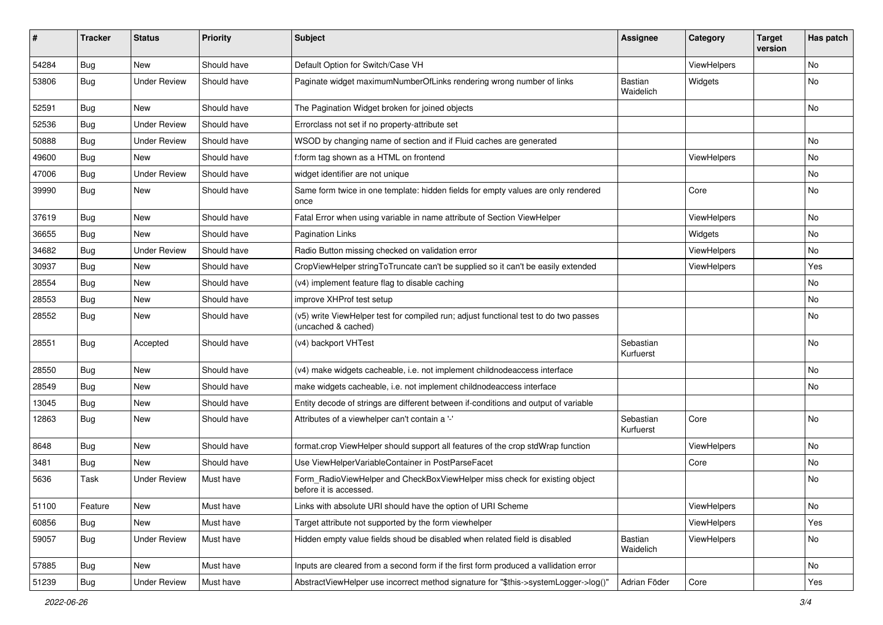| #     | <b>Tracker</b> | <b>Status</b>       | <b>Priority</b> | Subject                                                                                                     | <b>Assignee</b>             | Category           | <b>Target</b><br>version | Has patch |
|-------|----------------|---------------------|-----------------|-------------------------------------------------------------------------------------------------------------|-----------------------------|--------------------|--------------------------|-----------|
| 54284 | Bug            | New                 | Should have     | Default Option for Switch/Case VH                                                                           |                             | ViewHelpers        |                          | <b>No</b> |
| 53806 | Bug            | <b>Under Review</b> | Should have     | Paginate widget maximumNumberOfLinks rendering wrong number of links                                        | <b>Bastian</b><br>Waidelich | Widgets            |                          | No        |
| 52591 | Bug            | New                 | Should have     | The Pagination Widget broken for joined objects                                                             |                             |                    |                          | No        |
| 52536 | Bug            | <b>Under Review</b> | Should have     | Errorclass not set if no property-attribute set                                                             |                             |                    |                          |           |
| 50888 | Bug            | Under Review        | Should have     | WSOD by changing name of section and if Fluid caches are generated                                          |                             |                    |                          | No        |
| 49600 | Bug            | New                 | Should have     | f:form tag shown as a HTML on frontend                                                                      |                             | ViewHelpers        |                          | No        |
| 47006 | Bug            | <b>Under Review</b> | Should have     | widget identifier are not unique                                                                            |                             |                    |                          | No        |
| 39990 | Bug            | New                 | Should have     | Same form twice in one template: hidden fields for empty values are only rendered<br>once                   |                             | Core               |                          | No        |
| 37619 | Bug            | New                 | Should have     | Fatal Error when using variable in name attribute of Section ViewHelper                                     |                             | ViewHelpers        |                          | No        |
| 36655 | Bug            | New                 | Should have     | <b>Pagination Links</b>                                                                                     |                             | Widgets            |                          | No        |
| 34682 | Bug            | <b>Under Review</b> | Should have     | Radio Button missing checked on validation error                                                            |                             | <b>ViewHelpers</b> |                          | No        |
| 30937 | Bug            | New                 | Should have     | CropViewHelper stringToTruncate can't be supplied so it can't be easily extended                            |                             | ViewHelpers        |                          | Yes       |
| 28554 | Bug            | New                 | Should have     | (v4) implement feature flag to disable caching                                                              |                             |                    |                          | No        |
| 28553 | Bug            | New                 | Should have     | improve XHProf test setup                                                                                   |                             |                    |                          | No        |
| 28552 | Bug            | New                 | Should have     | (v5) write ViewHelper test for compiled run; adjust functional test to do two passes<br>(uncached & cached) |                             |                    |                          | No        |
| 28551 | Bug            | Accepted            | Should have     | (v4) backport VHTest                                                                                        | Sebastian<br>Kurfuerst      |                    |                          | No        |
| 28550 | Bug            | New                 | Should have     | (v4) make widgets cacheable, i.e. not implement childnodeaccess interface                                   |                             |                    |                          | No        |
| 28549 | Bug            | New                 | Should have     | make widgets cacheable, i.e. not implement childnodeaccess interface                                        |                             |                    |                          | No        |
| 13045 | Bug            | New                 | Should have     | Entity decode of strings are different between if-conditions and output of variable                         |                             |                    |                          |           |
| 12863 | Bug            | New                 | Should have     | Attributes of a viewhelper can't contain a '-'                                                              | Sebastian<br>Kurfuerst      | Core               |                          | No        |
| 8648  | Bug            | New                 | Should have     | format.crop ViewHelper should support all features of the crop stdWrap function                             |                             | ViewHelpers        |                          | No        |
| 3481  | Bug            | New                 | Should have     | Use ViewHelperVariableContainer in PostParseFacet                                                           |                             | Core               |                          | No        |
| 5636  | Task           | <b>Under Review</b> | Must have       | Form_RadioViewHelper and CheckBoxViewHelper miss check for existing object<br>before it is accessed.        |                             |                    |                          | No        |
| 51100 | Feature        | New                 | Must have       | Links with absolute URI should have the option of URI Scheme                                                |                             | ViewHelpers        |                          | No        |
| 60856 | Bug            | New                 | Must have       | Target attribute not supported by the form viewhelper                                                       |                             | ViewHelpers        |                          | Yes       |
| 59057 | Bug            | <b>Under Review</b> | Must have       | Hidden empty value fields shoud be disabled when related field is disabled                                  | Bastian<br>Waidelich        | ViewHelpers        |                          | No        |
| 57885 | Bug            | New                 | Must have       | Inputs are cleared from a second form if the first form produced a vallidation error                        |                             |                    |                          | No        |
| 51239 | Bug            | <b>Under Review</b> | Must have       | AbstractViewHelper use incorrect method signature for "\$this->systemLogger->log()"                         | Adrian Föder                | Core               |                          | Yes       |